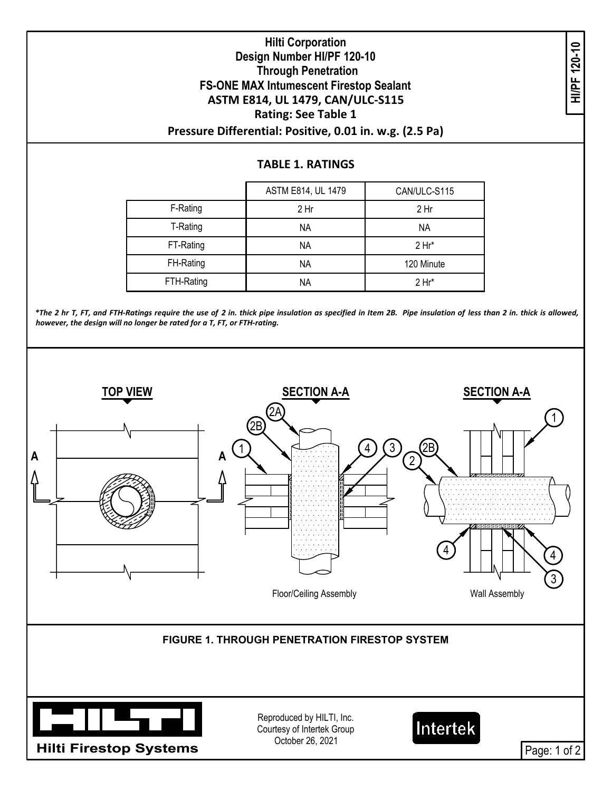## **Hilti Corporation Design Number HI/PF 120-10 Through Penetration FS-ONE MAX Intumescent Firestop Sealant ASTM E814, UL 1479, CAN/ULC-S115 Rating: See Table 1 Pressure Differential: Positive, 0.01 in. w.g. (2.5 Pa) THIN COLPORATOR**<br>
gn Number HI/PF 120-10<br>
Through Penetration<br>
X Intumescent Firestop Sealant<br>
14, UL 1479, CAN/ULC-S115<br>
Rating: See Table 1<br>
TABLE 1. RATINGS<br>
TABLE 1. RATINGS

|            | ASTM E814, UL 1479 | CAN/ULC-S115 |
|------------|--------------------|--------------|
| F-Rating   | 2 Hr               | 2 Hr         |
| T-Rating   | ΝA                 | ΝA           |
| FT-Rating  | <b>NA</b>          | $2 Hr^*$     |
| FH-Rating  | ΝA                 | 120 Minute   |
| FTH-Rating | ΝA                 | $2 Hr^*$     |

\*The 2 hr T, FT, and FTH-Ratings require the use of 2 in. thick pipe insulation as specified in Item 2B. Pipe insulation of less than 2 in. thick is allowed, *however, the design will no longer be rated for a T, FT, or FTH-rating.*